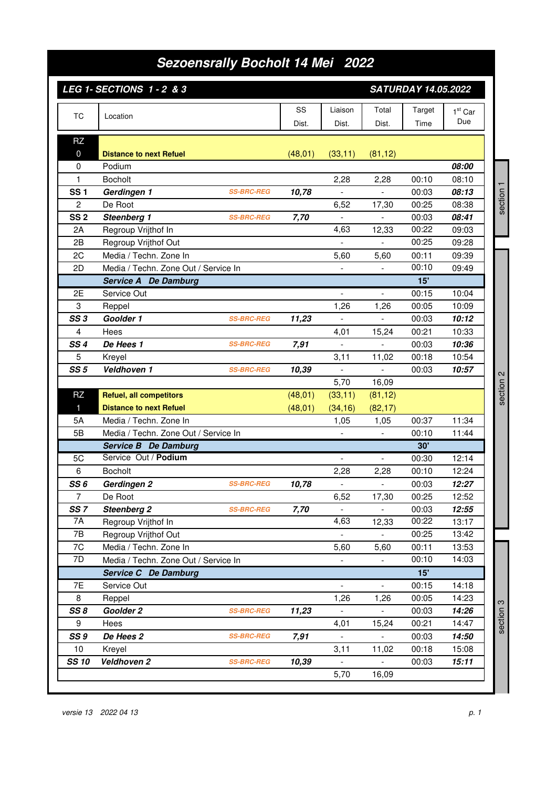## *Sezoensrally Bocholt 14 Mei 2022*

|                         | LEG 1- SECTIONS 1 - 2 & 3                                |                   |          |                                  | <b>SATURDAY 14.05.2022</b> |                |                |           |
|-------------------------|----------------------------------------------------------|-------------------|----------|----------------------------------|----------------------------|----------------|----------------|-----------|
| <b>TC</b>               | Location                                                 |                   | SS       | Liaison                          | Total                      | Target         | $1st$ Car      |           |
|                         |                                                          |                   | Dist.    | Dist.                            | Dist.                      | Time           | Due            |           |
| <b>RZ</b>               |                                                          |                   |          |                                  |                            |                |                |           |
| $\mathbf 0$             | <b>Distance to next Refuel</b>                           |                   | (48, 01) | (33, 11)                         | (81, 12)                   |                |                |           |
| 0                       | Podium                                                   |                   |          |                                  |                            |                | 08:00          |           |
| 1                       | <b>Bocholt</b>                                           |                   |          | 2,28                             | 2,28                       | 00:10          | 08:10          |           |
| <b>SS1</b>              | Gerdingen 1                                              | <b>SS-BRC-REG</b> | 10,78    | $\overline{a}$                   |                            | 00:03          | 08:13          | section 1 |
| 2<br>SS <sub>2</sub>    | De Root<br>Steenberg 1                                   | <b>SS-BRC-REG</b> | 7,70     | 6,52                             | 17,30                      | 00:25<br>00:03 | 08:38<br>08:41 |           |
| 2A                      | Regroup Vrijthof In                                      |                   |          | 4,63                             | 12,33                      | 00:22          | 09:03          |           |
| 2B                      | Regroup Vrijthof Out                                     |                   |          |                                  |                            | 00:25          | 09:28          |           |
| 2C                      | Media / Techn. Zone In                                   |                   |          | 5,60                             | 5,60                       | 00:11          | 09:39          |           |
| 2D                      | Media / Techn. Zone Out / Service In                     |                   |          | $\overline{\phantom{a}}$         |                            | 00:10          | 09:49          |           |
|                         | <b>Service A</b> De Damburg                              |                   |          |                                  |                            | 15'            |                |           |
| 2E                      | Service Out                                              |                   |          | $\overline{\phantom{a}}$         | $\mathbb{L}^{\mathbb{N}}$  | 00:15          | 10:04          |           |
| 3                       | Reppel                                                   |                   |          | 1,26                             | 1,26                       | 00:05          | 10:09          |           |
| SS <sub>3</sub>         | Goolder 1                                                | <b>SS-BRC-REG</b> | 11,23    |                                  |                            | 00:03          | 10:12          |           |
| 4                       | Hees                                                     |                   |          | 4,01                             | 15,24                      | 00:21          | 10:33          |           |
| SS <sub>4</sub>         | De Hees 1                                                | <b>SS-BRC-REG</b> | 7,91     |                                  | $\blacksquare$             | 00:03          | 10:36          |           |
| 5                       | Kreyel                                                   |                   |          | 3,11                             | 11,02                      | 00:18          | 10:54          |           |
| SS <sub>5</sub>         | Veldhoven 1                                              | <b>SS-BRC-REG</b> | 10,39    | $\blacksquare$                   | $\blacksquare$             | 00:03          | 10:57          |           |
|                         |                                                          |                   |          | 5,70                             | 16,09                      |                |                | section 2 |
| <b>RZ</b><br>1          | <b>Refuel, all competitors</b>                           |                   | (48, 01) | (33, 11)                         | (81, 12)                   |                |                |           |
| 5A                      | <b>Distance to next Refuel</b><br>Media / Techn. Zone In |                   | (48, 01) | (34, 16)                         | (82, 17)                   | 00:37          | 11:34          |           |
| 5B                      | Media / Techn. Zone Out / Service In                     |                   |          | 1,05                             | 1,05                       | 00:10          | 11:44          |           |
|                         | Service B De Damburg                                     |                   |          |                                  | 30'                        |                |                |           |
| 5C                      | Service Out / Podium                                     |                   |          |                                  |                            | 00:30          | 12:14          |           |
| 6                       | <b>Bocholt</b>                                           |                   |          | 2,28                             | 2,28                       | 00:10          | 12:24          |           |
| SS6                     | Gerdingen 2                                              | <b>SS-BRC-REG</b> | 10,78    |                                  |                            | 00:03          | 12:27          |           |
| $\overline{7}$          | De Root                                                  |                   |          | 6,52                             | 17,30                      | 00:25          | 12:52          |           |
| SS <sub>7</sub>         | <b>Steenberg 2</b>                                       | <b>SS-BRC-REG</b> | 7,70     |                                  |                            | 00:03          | 12:55          |           |
| 7A                      | Regroup Vrijthof In                                      |                   |          | 4,63                             | 12,33                      | 00:22          | 13:17          |           |
| 7B                      | Regroup Vrijthof Out                                     |                   |          | $\blacksquare$                   | $\blacksquare$             | 00:25          | 13:42          |           |
| 7C                      | Media / Techn. Zone In                                   |                   |          | 5,60                             | 5,60                       | 00:11          | 13:53          |           |
| 7D                      | Media / Techn. Zone Out / Service In                     |                   |          | $\overline{\phantom{a}}$         |                            | 00:10          | 14:03          |           |
|                         | Service C De Damburg                                     |                   |          |                                  |                            | 15'            |                |           |
| 7E                      | Service Out                                              |                   |          |                                  |                            | 00:15          | 14:18          |           |
| 8                       | Reppel                                                   |                   |          | 1,26                             | 1,26                       | 00:05          | 14:23          |           |
| SS8                     | Goolder 2                                                | <b>SS-BRC-REG</b> | 11,23    | $\overline{\phantom{a}}$         |                            | 00:03          | 14:26          | section 3 |
| 9                       | Hees                                                     |                   |          | 4,01                             | 15,24                      | 00:21          | 14:47          |           |
| SS <sub>9</sub><br>$10$ | De Hees 2                                                | <b>SS-BRC-REG</b> | 7,91     | $\overline{\phantom{a}}$         | $\overline{\phantom{a}}$   | 00:03          | 14:50          |           |
| <b>SS 10</b>            | Kreyel<br>Veldhoven 2                                    | <b>SS-BRC-REG</b> | 10,39    | 3,11<br>$\overline{\phantom{a}}$ | 11,02<br>$\blacksquare$    | 00:18<br>00:03 | 15:08<br>15:11 |           |
|                         |                                                          |                   |          | 5,70                             | 16,09                      |                |                |           |
|                         |                                                          |                   |          |                                  |                            |                |                |           |